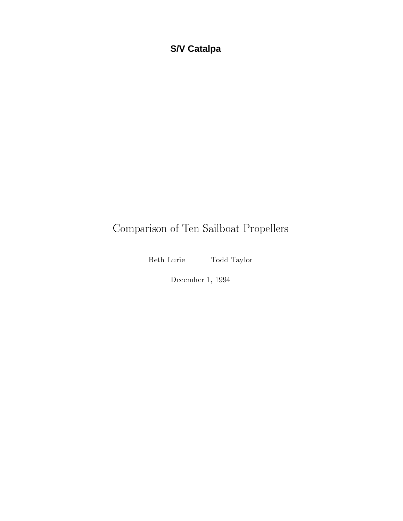# **S/V Catalpa**

# Comparison of Ten Sailboat Propellers

Beth Lurie

Todd Taylor

December 1, 1994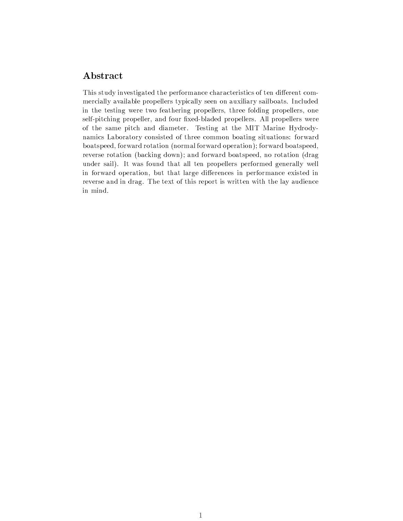#### Abstract

This study investigated the performance characteristics of ten different commercially available propellers typically seen on auxiliary sailboats. Included in the testing were two feathering propellers, three folding propellers, one self-pitching propeller, and four fixed-bladed propellers. All propellers were of the same pitch and diameter. Testing at the MIT Marine Hydrodynamics Laboratory consisted of three common boating situations: forward boatspeed, forward rotation (normal forward operation); forward boatspeed, reverse rotation (backing down); and forward boatspeed, no rotation (drag under sail). It was found that all ten propellers performed generally well in forward operation, but that large differences in performance existed in reverse and in drag. The text of this report is written with the lay audience in mind.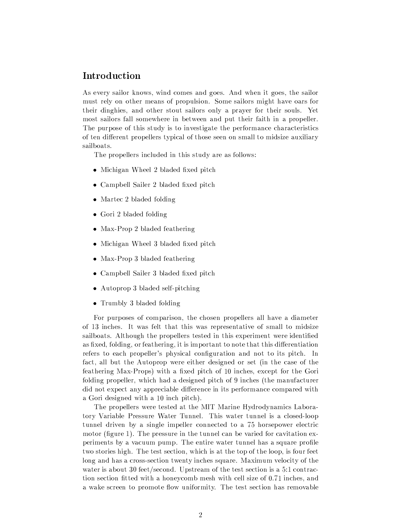## Introduction

As every sailor knows, wind comes and goes. And when it goes, the sailor must rely on other means of propulsion. Some sailors might have oars for their dinghies, and other stout sailors only a prayer for their souls. Yet most sailors fall somewhere in between and put their faith in a propeller. The purpose of this study is to investigate the performance characteristics of ten different propellers typical of those seen on small to midsize auxiliary sailboats.

The propellers included in this study are as follows:

- Michigan Wheel 2 bladed fixed pitch
- Campbell Sailer 2 bladed fixed pitch
- Martec 2 bladed folding
- $\bullet$  Gori 2 bladed folding
- Max-Prop 2 bladed feathering
- Michigan Wheel 3 bladed fixed pitch
- Max-Prop 3 bladed feathering
- Campbell Sailer 3 bladed fixed pitch
- Autoprop 3 bladed self-pitching
- Trumbly 3 bladed folding

For purposes of comparison, the chosen propellers all have a diameter of 13 inches. It was felt that this was representative of small to midsize sailboats. Although the propellers tested in this experiment were identified as fixed, folding, or feathering, it is important to note that this differentiation refers to each propeller's physical configuration and not to its pitch. In fact, all but the Autoprop were either designed or set (in the case of the feathering Max-Props) with a fixed pitch of 10 inches, except for the Gori folding propeller, which had a designed pitch of 9 inches (the manufacturer did not expect any appreciable difference in its performance compared with a Gori designed with a 10 inch pitch).

The propellers were tested at the MIT Marine Hydrodynamics Laboratory Variable Pressure Water Tunnel. This water tunnel is a closed-loop tunnel driven by a single impeller connected to a 75 horsepower electric motor (figure 1). The pressure in the tunnel can be varied for cavitation experiments by a vacuum pump. The entire water tunnel has a square profile two stories high. The test section, which is at the top of the loop, is four feet long and has a cross-section twenty inches square. Maximum velocity of the water is about 30 feet/second. Upstream of the test section is a 5:1 contraction section fitted with a honeycomb mesh with cell size of 0.71 inches, and a wake screen to promote flow uniformity. The test section has removable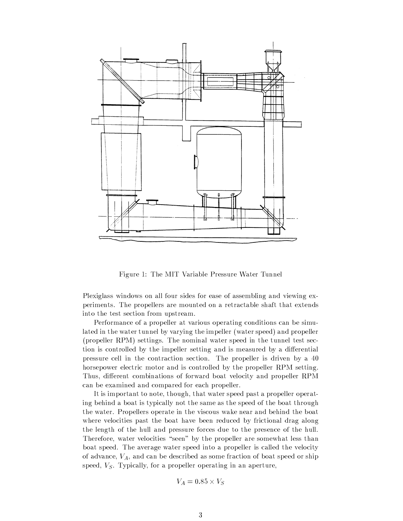

Figure 1: The MIT Variable Pressure Water Tunnel

Plexiglass windows on all four sides for ease of assembling and viewing experiments. The propellers are mounted on a retractable shaft that extends into the test section from upstream.

Performance of a propeller at various operating conditions can be simulated in the water tunnel by varying the impeller (water speed) and propeller (propeller RPM) settings. The nominal water speed in the tunnel test section is controlled by the impeller setting and is measured by a differential pressure cell in the contraction section. The propeller is driven by a 40 horsepower electric motor and is controlled by the propeller RPM setting. Thus, different combinations of forward boat velocity and propeller RPM can be examined and compared for each propeller.

It is important to note, though, that water speed past a propeller operating behind a boat is typically not the same as the speed of the boat through the water. Propellers operate in the viscous wake near and behind the boat where velocities past the boat have been reduced by frictional drag along the length of the hull and pressure forces due to the presence of the hull. Therefore, water velocities "seen" by the propeller are somewhat less than boat speed. The average water speed into a propeller is called the velocity of advance,  $V_A$ , and can be described as some fraction of boat speed or ship speed,  $V<sub>S</sub>$ . Typically, for a propeller operating in an aperture,

$$
V_A = 0.85 \times V_S
$$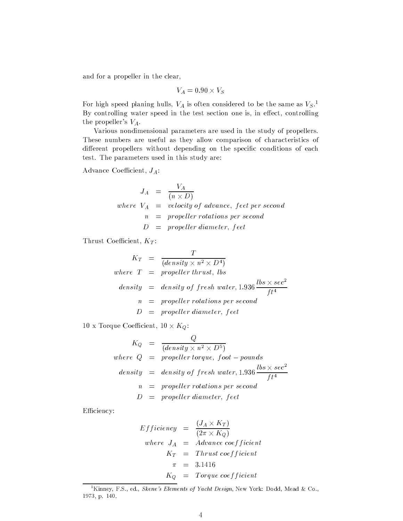and for a propeller in the clear,

$$
V_A=0.90\times V_S
$$

For high speed planing hulls,  $V_A$  is often considered to be the same as  $V_S$ .<sup>1</sup> By controlling water speed in the test section one is, in effect, controlling the propeller's  $V_A$ .

Various nondimensional parameters are used in the study of propellers. These numbers are useful as they allow comparison of characteristics of different propellers without depending on the specific conditions of each test. The parameters used in this study are:

Advance Coefficient,  $J_A$ :

$$
J_A = \frac{V_A}{(n \times D)}
$$
  
where  $V_A = velocity of advance$ , feet per second  
 $n = propeller rotations per second$   
 $D = propeller diameter, feet$ 

Thrust Coefficient,  $K_T$ :

$$
K_T = \frac{T}{(density \times n^2 \times D^4)}
$$
  
where  $T = propeller thrust, lbs$   
density = density of fresh water, 1.936  $\frac{ lbs \times sec^2}{ft^4}$   
 $n = propeller rotations per second$   
 $D = propeller diameter, feet$ 

10 x Torque Coefficient,  $10 \times K_Q$ :

$$
K_Q = \frac{Q}{(density \times n^2 \times D^5)}
$$
  
where  $Q = propeller torque, foot - pounds$   
density = density of fresh water, 1.936  $\frac{lbs \times sec^2}{ft^4}$   
 $n = propeller rotations per second$   
 $D = propeller diameter, feet$ 

Efficiency:

$$
Efficiency = \frac{(J_A \times K_T)}{(2\pi \times K_Q)}
$$
  
where  $J_A$  = *Advance coefficient*  
 $K_T$  = *Thrust coefficient*  
 $\pi$  = 3.1416  
 $K_Q$  = *Torque coefficient*

<sup>&</sup>lt;sup>1</sup>Kinney, F.S., ed., Skene's Elements of Yacht Design, New York: Dodd, Mead & Co., 1973, p. 140.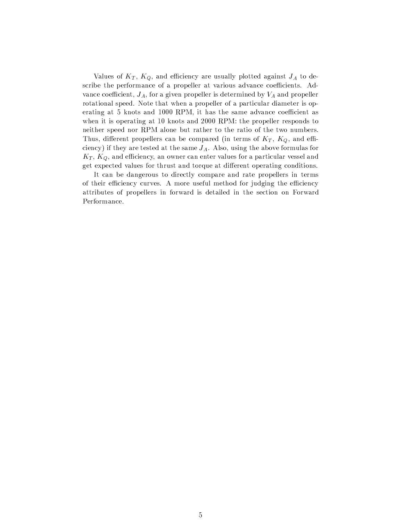Values of  $K_T$ ,  $K_Q$ , and efficiency are usually plotted against  $J_A$  to describe the performance of a propeller at various advance coefficients. Advance coefficient,  $J_A$ , for a given propeller is determined by  $V_A$  and propeller rotational speed. Note that when a propeller of a particular diameter is operating at 5 knots and 1000 RPM, it has the same advance coefficient as when it is operating at 10 knots and 2000 RPM: the propeller responds to neither speed nor RPM alone but rather to the ratio of the two numbers. Thus, different propellers can be compared (in terms of  $K_T$ ,  $K_Q$ , and efficiency) if they are tested at the same  $J_A$ . Also, using the above formulas for  $K_T$ ,  $K_Q$ , and efficiency, an owner can enter values for a particular vessel and get expected values for thrust and torque at different operating conditions.

It can be dangerous to directly compare and rate propellers in terms of their efficiency curves. A more useful method for judging the efficiency attributes of propellers in forward is detailed in the section on Forward Performance.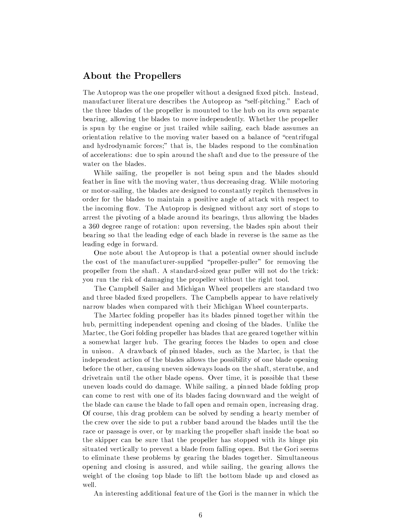#### **About the Propellers**

The Autoprop was the one propeller without a designed fixed pitch. Instead, manufacturer literature describes the Autoprop as "self-pitching." Each of the three blades of the propeller is mounted to the hub on its own separate bearing, allowing the blades to move independently. Whether the propeller is spun by the engine or just trailed while sailing, each blade assumes an orientation relative to the moving water based on a balance of "centrifugal and hydrodynamic forces;" that is, the blades respond to the combination of accelerations: due to spin around the shaft and due to the pressure of the water on the blades.

While sailing, the propeller is not being spun and the blades should feather in line with the moving water, thus decreasing drag. While motoring or motor-sailing, the blades are designed to constantly repitch themselves in order for the blades to maintain a positive angle of attack with respect to the incoming flow. The Autoprop is designed without any sort of stops to arrest the pivoting of a blade around its bearings, thus allowing the blades a 360 degree range of rotation: upon reversing, the blades spin about their bearing so that the leading edge of each blade in reverse is the same as the leading edge in forward.

One note about the Autoprop is that a potential owner should include the cost of the manufacturer-supplied "propeller-puller" for removing the propeller from the shaft. A standard-sized gear puller will not do the trick: you run the risk of damaging the propeller without the right tool.

The Campbell Sailer and Michigan Wheel propellers are standard two and three bladed fixed propellers. The Campbells appear to have relatively narrow blades when compared with their Michigan Wheel counterparts.

The Martec folding propeller has its blades pinned together within the hub, permitting independent opening and closing of the blades. Unlike the Martec, the Gori folding propeller has blades that are geared together within a somewhat larger hub. The gearing forces the blades to open and close in unison. A drawback of pinned blades, such as the Martec, is that the independent action of the blades allows the possibility of one blade opening before the other, causing uneven sideways loads on the shaft, sterntube, and drivetrain until the other blade opens. Over time, it is possible that these uneven loads could do damage. While sailing, a pinned blade folding prop can come to rest with one of its blades facing downward and the weight of the blade can cause the blade to fall open and remain open, increasing drag. Of course, this drag problem can be solved by sending a hearty member of the crew over the side to put a rubber band around the blades until the the race or passage is over, or by marking the propeller shaft inside the boat so the skipper can be sure that the propeller has stopped with its hinge pin situated vertically to prevent a blade from falling open. But the Gori seems to eliminate these problems by gearing the blades together. Simultaneous opening and closing is assured, and while sailing, the gearing allows the weight of the closing top blade to lift the bottom blade up and closed as well.

An interesting additional feature of the Gori is the manner in which the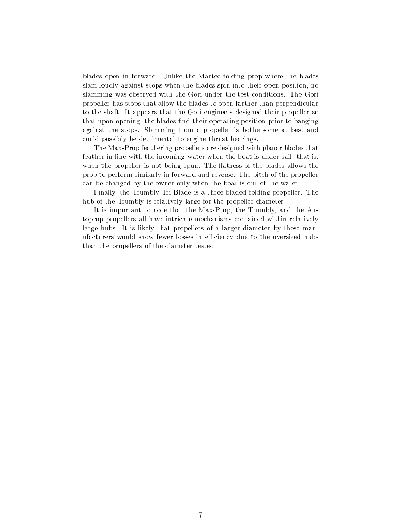blades open in forward. Unlike the Martec folding prop where the blades slam loudly against stops when the blades spin into their open position, no slamming was observed with the Gori under the test conditions. The Gori propeller has stops that allow the blades to open farther than perpendicular to the shaft. It appears that the Gori engineers designed their propeller so that upon opening, the blades find their operating position prior to banging against the stops. Slamming from a propeller is bothersome at best and could possibly be detrimental to engine thrust bearings.

The Max-Prop feathering propellers are designed with planar blades that feather in line with the incoming water when the boat is under sail, that is, when the propeller is not being spun. The flatness of the blades allows the prop to perform similarly in forward and reverse. The pitch of the propeller can be changed by the owner only when the boat is out of the water.

Finally, the Trumbly Tri-Blade is a three-bladed folding propeller. The hub of the Trumbly is relatively large for the propeller diameter.

It is important to note that the Max-Prop, the Trumbly, and the Autoprop propellers all have intricate mechanisms contained within relatively large hubs. It is likely that propellers of a larger diameter by these manufacturers would show fewer losses in efficiency due to the oversized hubs than the propellers of the diameter tested.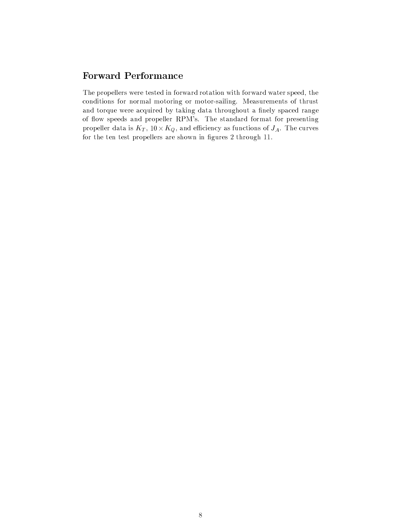### **Forward Performance**

The propellers were tested in forward rotation with forward water speed, the conditions for normal motoring or motor-sailing. Measurements of thrust and torque were acquired by taking data throughout a finely spaced range of flow speeds and propeller RPM's. The standard format for presenting propeller data is  $K_T$ ,  $10 \times K_Q$ , and efficiency as functions of  $J_A$ . The curves for the ten test propellers are shown in figures 2 through 11.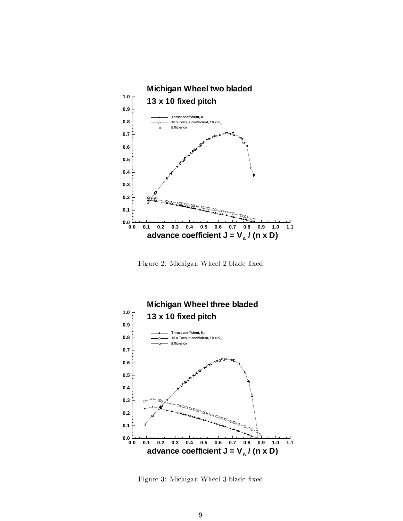

Figure 2: Michigan Wheel 2 blade fixed



Figure 3: Michigan Wheel 3 blade fixed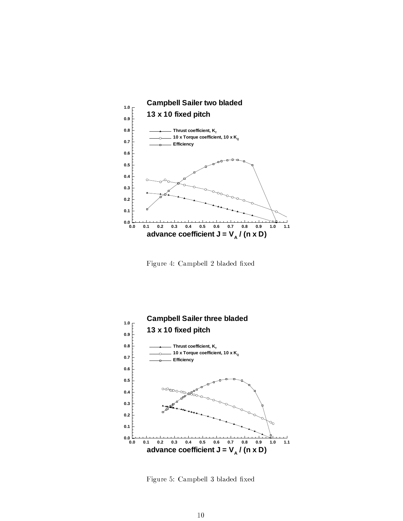

Figure 4: Campbell 2 bladed fixed



Figure 5: Campbell 3 bladed fixed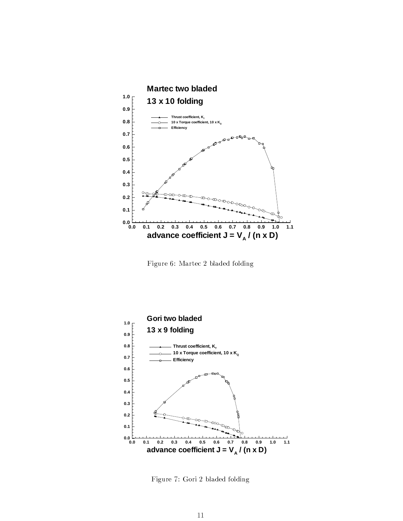

Figure 6: Martec 2 bladed folding



Figure 7: Gori 2 bladed folding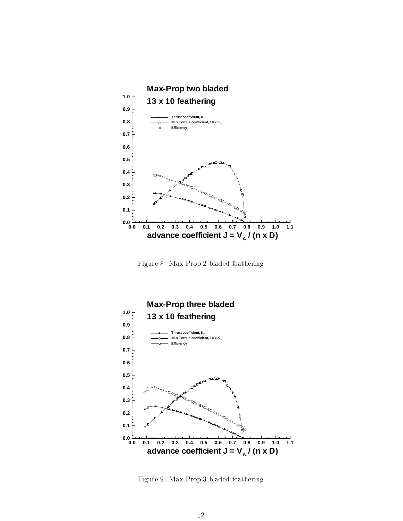

Figure 8: Max-Prop 2 bladed feathering



Figure 9: Max-Prop 3 bladed feathering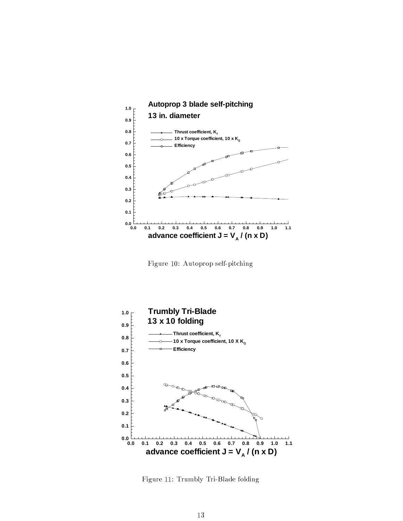

Figure 10: Autoprop self-pitching



Figure 11: Trumbly Tri-Blade folding the second that the Second Second Second Second Second Second Second Second S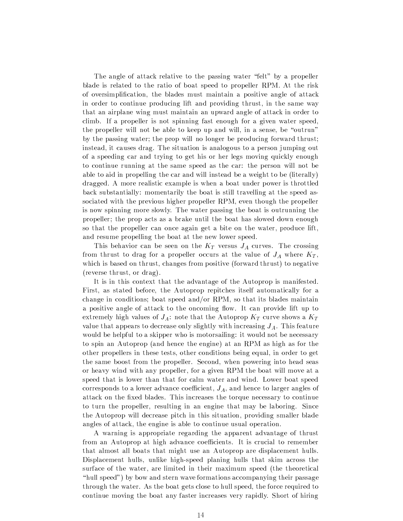The angle of attack relative to the passing water "felt" by a propeller blade is related to the ratio of boat speed to propeller RPM. At the risk of oversimplification, the blades must maintain a positive angle of attack in order to continue producing lift and providing thrust, in the same way that an airplane wing must maintain an upward angle of attack in order to climb. If a propeller is not spinning fast enough for a given water speed, the propeller will not be able to keep up and will, in a sense, be "outrun" by the passing water; the prop will no longer be producing forward thrust; instead, it causes drag. The situation is analogous to a person jumping out of a speeding car and trying to get his or her legs moving quickly enough to continue running at the same speed as the car: the person will not be able to aid in propelling the car and will instead be a weight to be (literally) dragged. A more realistic example is when a boat under power is throttled back substantially: momentarily the boat is still travelling at the speed associated with the previous higher propeller RPM, even though the propeller is now spinning more slowly. The water passing the boat is outrunning the propeller; the prop acts as a brake until the boat has slowed down enough so that the propeller can once again get a bite on the water, produce lift, and resume propelling the boat at the new lower speed.

This behavior can be seen on the  $K_T$  versus  $J_A$  curves. The crossing from thrust to drag for a propeller occurs at the value of  $J_A$  where  $K_T,$ which is based on thrust, changes from positive (forward thrust) to negative (reverse thrust, or drag).

It is in this context that the advantage of the Autoprop is manifested. First, as stated before, the Autoprop repitches itself automatically for a change in conditions; boat speed and/or RPM, so that its blades maintain a positive angle of attack to the oncoming flow. It can provide lift up to extremely high values of  $J_A$ : note that the Autoprop  $K_T$  curve shows a  $K_T$ value that appears to decrease only slightly with increasing  $J_A$ . This feature would be helpful to a skipper who is motorsailing: it would not be necessary to spin an Autoprop (and hence the engine) at an RPM as high as for the other propellers in these tests, other conditions being equal, in order to get the same boost from the propeller. Second, when powering into head seas or heavy wind with any propeller, for a given RPM the boat will move at a speed that is lower than that for calm water and wind. Lower boat speed corresponds to a lower advance coefficient,  $J_A$ , and hence to larger angles of attack on the fixed blades. This increases the torque necessary to continue to turn the propeller, resulting in an engine that may be laboring. Since the Autoprop will decrease pitch in this situation, providing smaller blade angles of attack, the engine is able to continue usual operation.

A warning is appropriate regarding the apparent advantage of thrust from an Autoprop at high advance coefficients. It is crucial to remember that almost all boats that might use an Autoprop are displacement hulls. Displacement hulls, unlike high-speed planing hulls that skim across the surface of the water, are limited in their maximum speed (the theoretical "hull speed") by bow and stern wave formations accompanying their passage through the water. As the boat gets close to hull speed, the force required to continue moving the boat any faster increases very rapidly. Short of hiring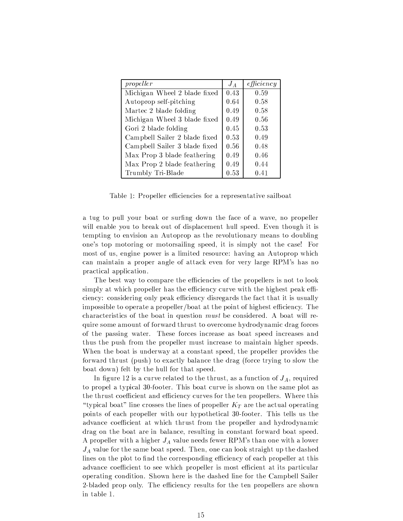| propeller                     | $J_A$ | efficiency |
|-------------------------------|-------|------------|
| Michigan Wheel 2 blade fixed  | 0.43  | 0.59       |
| Autoprop self-pitching        | 0.64  | 0.58       |
| Martec 2 blade folding        | 0.49  | 0.58       |
| Michigan Wheel 3 blade fixed  | 0.49  | 0.56       |
| Gori 2 blade folding          | 0.45  | 0.53       |
| Campbell Sailer 2 blade fixed | 0.53  | 0.49       |
| Campbell Sailer 3 blade fixed | 0.56  | 0.48       |
| Max Prop 3 blade feathering   | 0.49  | 0.46       |
| Max Prop 2 blade feathering   | 0.49  | 0.44       |
| Trumbly Tri-Blade             | 0.53  | 0.41       |

Table 1: Propeller efficiencies for a representative sailboat

a tug to pull your boat or surfing down the face of a wave, no propeller will enable you to break out of displacement hull speed. Even though it is tempting to envision an Autoprop as the revolutionary means to doubling one's top motoring or motorsailing speed, it is simply not the case! For most of us, engine power is a limited resource: having an Autoprop which can maintain a proper angle of attack even for very large RPM's has no practical application.

The best way to compare the efficiencies of the propellers is not to look simply at which propeller has the efficiency curve with the highest peak efficiency: considering only peak efficiency disregards the fact that it is usually impossible to operate a propeller/boat at the point of highest efficiency. The characteristics of the boat in question *must* be considered. A boat will require some amount of forward thrust to overcome hydrodynamic drag forces of the passing water. These forces increase as boat speed increases and thus the push from the propeller must increase to maintain higher speeds. When the boat is underway at a constant speed, the propeller provides the forward thrust (push) to exactly balance the drag (force trying to slow the boat down) felt by the hull for that speed.

In figure 12 is a curve related to the thrust, as a function of  $J_A$ , required to propel a typical 30-footer. This boat curve is shown on the same plot as the thrust coefficient and efficiency curves for the ten propellers. Where this "typical boat" line crosses the lines of propeller  $K_T$  are the actual operating points of each propeller with our hypothetical 30-footer. This tells us the advance coefficient at which thrust from the propeller and hydrodynamic drag on the boat are in balance, resulting in constant forward boat speed. A propeller with a higher  $J_A$  value needs fewer RPM's than one with a lower  $J_A$  value for the same boat speed. Then, one can look straight up the dashed lines on the plot to find the corresponding efficiency of each propeller at this advance coefficient to see which propeller is most efficient at its particular operating condition. Shown here is the dashed line for the Campbell Sailer 2-bladed prop only. The efficiency results for the ten propellers are shown in table 1.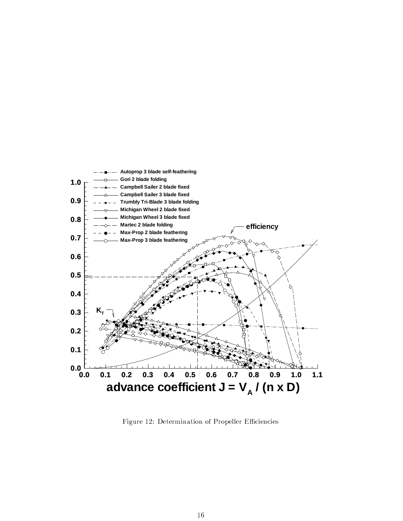

Figure 12: Determination of Propeller Efficiencies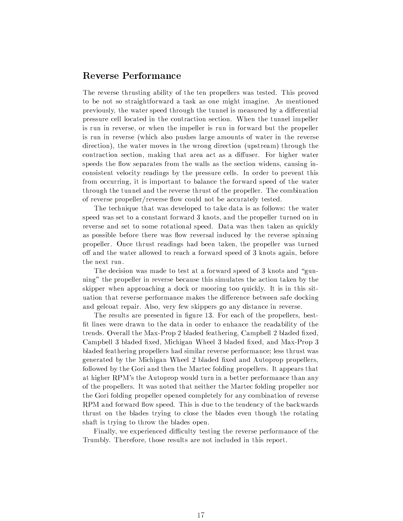#### **Reverse Performance**

The reverse thrusting ability of the ten propellers was tested. This proved to be not so straightforward a task as one might imagine. As mentioned previously, the water speed through the tunnel is measured by a differential pressure cell located in the contraction section. When the tunnel impeller is run in reverse, or when the impeller is run in forward but the propeller is run in reverse (which also pushes large amounts of water in the reverse direction), the water moves in the wrong direction (upstream) through the contraction section, making that area act as a diffuser. For higher water speeds the flow separates from the walls as the section widens, causing inconsistent velocity readings by the pressure cells. In order to prevent this from occurring, it is important to balance the forward speed of the water through the tunnel and the reverse thrust of the propeller. The combination of reverse propeller/reverse flow could not be accurately tested.

The technique that was developed to take data is as follows: the water speed was set to a constant forward 3 knots, and the propeller turned on in reverse and set to some rotational speed. Data was then taken as quickly as possible before there was flow reversal induced by the reverse spinning propeller. Once thrust readings had been taken, the propeller was turned off and the water allowed to reach a forward speed of 3 knots again, before the next run.

The decision was made to test at a forward speed of 3 knots and "gunning" the propeller in reverse because this simulates the action taken by the skipper when approaching a dock or mooring too quickly. It is in this situation that reverse performance makes the difference between safe docking and gelcoat repair. Also, very few skippers go any distance in reverse.

The results are presented in figure 13. For each of the propellers, bestfit lines were drawn to the data in order to enhance the readability of the trends. Overall the Max-Prop 2 bladed feathering, Campbell 2 bladed fixed, Campbell 3 bladed fixed, Michigan Wheel 3 bladed fixed, and Max-Prop 3 bladed feathering propellers had similar reverse performance; less thrust was generated by the Michigan Wheel 2 bladed fixed and Autoprop propellers, followed by the Gori and then the Martec folding propellers. It appears that at higher RPM's the Autoprop would turn in a better performance than any of the propellers. It was noted that neither the Martec folding propeller nor the Gori folding propeller opened completely for any combination of reverse RPM and forward flow speed. This is due to the tendency of the backwards thrust on the blades trying to close the blades even though the rotating shaft is trying to throw the blades open.

Finally, we experienced difficulty testing the reverse performance of the Trumbly. Therefore, those results are not included in this report.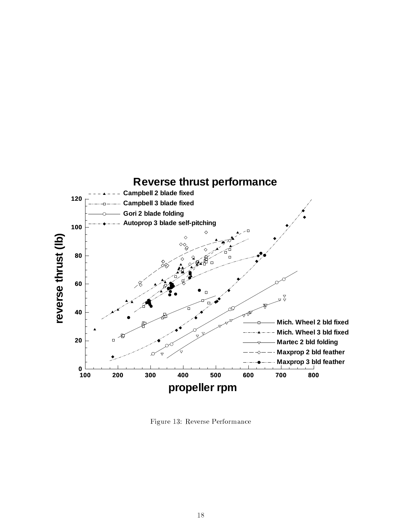

Figure 13: Reverse Performance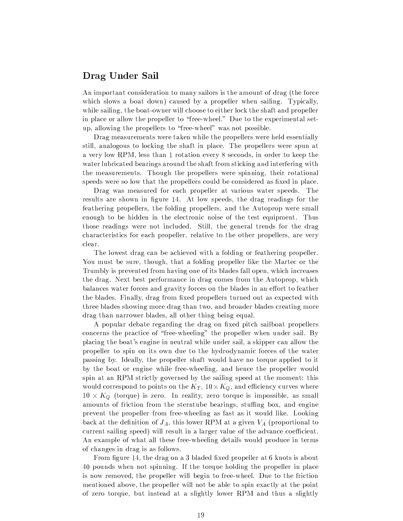#### Drag Under Sail

An important consideration to many sailors is the amount of drag (the force which slows a boat down) caused by a propeller when sailing. Typically, while sailing, the boat-owner will choose to either lock the shaft and propeller in place or allow the propeller to "free-wheel." Due to the experimental setup, allowing the propellers to "free-wheel" was not possible.

Drag measurements were taken while the propellers were held essentially still, analogous to locking the shaft in place. The propellers were spun at a very low RPM, less than 1 rotation every 8 seconds, in order to keep the water lubricated bearings around the shaft from sticking and interfering with the measurements. Though the propellers were spinning, their rotational speeds were so low that the propellers could be considered as fixed in place.

Drag was measured for each propeller at various water speeds. The results are shown in figure 14. At low speeds, the drag readings for the feathering propellers, the folding propellers, and the Autoprop were small enough to be hidden in the electronic noise of the test equipment. Thus those readings were not included. Still, the general trends for the drag characteristics for each propeller, relative to the other propellers, are very clear.

The lowest drag can be achieved with a folding or feathering propeller. You must be sure, though, that a folding propeller like the Martec or the Trumbly is prevented from having one of its blades fall open, which increases the drag. Next best performance in drag comes from the Autoprop, which balances water forces and gravity forces on the blades in an effort to feather the blades. Finally, drag from fixed propellers turned out as expected with three blades showing more drag than two, and broader blades creating more drag than narrower blades, all other thing being equal.

A popular debate regarding the drag on fixed pitch sailboat propellers concerns the practice of "free-wheeling" the propeller when under sail. By placing the boat's engine in neutral while under sail, a skipper can allow the propeller to spin on its own due to the hydrodynamic forces of the water passing by. Ideally, the propeller shaft would have no torque applied to it by the boat or engine while free-wheeling, and hence the propeller would spin at an RPM strictly governed by the sailing speed at the moment: this would correspond to points on the  $K_T,$  10  $\times$   $K_Q,$  and efficiency curves where  $10 \times K_Q$  (torque) is zero. In reality, zero torque is impossible, as small amounts of friction from the sterntube bearings, stuffing box, and engine prevent the propeller from free-wheeling as fast as it would like. Looking back at the definition of  $J_A$ , this lower RPM at a given  $V_A$  (proportional to current sailing speed) will result in a larger value of the advance coefficient. An example of what all these free-wheeling details would produce in terms of changes in drag is as follows.

From figure 14, the drag on a 3 bladed fixed propeller at 6 knots is about 40 pounds when not spinning. If the torque holding the propeller in place is now removed, the propeller will begin to free-wheel. Due to the friction mentioned above, the propeller will not be able to spin exactly at the point of zero torque, but instead at a slightly lower RPM and thus a slightly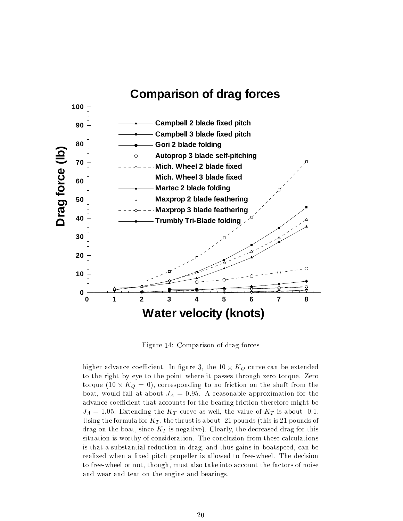

Figure 14: Comparison of drag forces

higher advance coefficient. In figure 3, the  $10 \times K_Q$  curve can be extended to the right by eye to the point where it passes through zero torque. Zero torque  $(10 \times K_Q = 0)$ , corresponding to no friction on the shaft from the boat, would fall at about  $J_A = 0.95$ . A reasonable approximation for the advance coefficient that accounts for the bearing friction therefore might be  $J_A = 1.05$ . Extending the  $K_T$  curve as well, the value of  $K_T$  is about -0.1. Using the formula for  $K_T$ , the thrust is about -21 pounds (this is 21 pounds of drag on the boat, since  $K_T$  is negative). Clearly, the decreased drag for this situation is worthy of consideration. The conclusion from these calculations is that a substantial reduction in drag, and thus gains in boatspeed, can be realized when a fixed pitch propeller is allowed to free-wheel. The decision to free-wheel or not, though, must also take into account the factors of noise and wear and tear on the engine and bearings.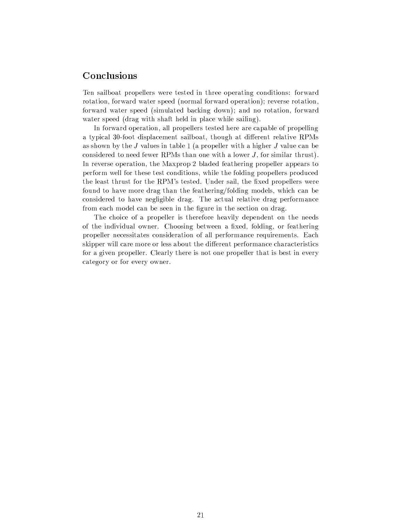#### Conclusions

Ten sailboat propellers were tested in three operating conditions: forward rotation, forward water speed (normal forward operation); reverse rotation, forward water speed (simulated backing down); and no rotation, forward water speed (drag with shaft held in place while sailing).

In forward operation, all propellers tested here are capable of propelling a typical 30-foot displacement sailboat, though at different relative RPMs as shown by the  $J$  values in table 1 (a propeller with a higher  $J$  value can be considered to need fewer RPMs than one with a lower  $J$ , for similar thrust). In reverse operation, the Maxprop 2 bladed feathering propeller appears to perform well for these test conditions, while the folding propellers produced the least thrust for the RPM's tested. Under sail, the fixed propellers were found to have more drag than the feathering/folding models, which can be considered to have negligible drag. The actual relative drag performance from each model can be seen in the figure in the section on drag.

The choice of a propeller is therefore heavily dependent on the needs of the individual owner. Choosing between a fixed, folding, or feathering propeller necessitates consideration of all performance requirements. Each skipper will care more or less about the different performance characteristics for a given propeller. Clearly there is not one propeller that is best in every category or for every owner.